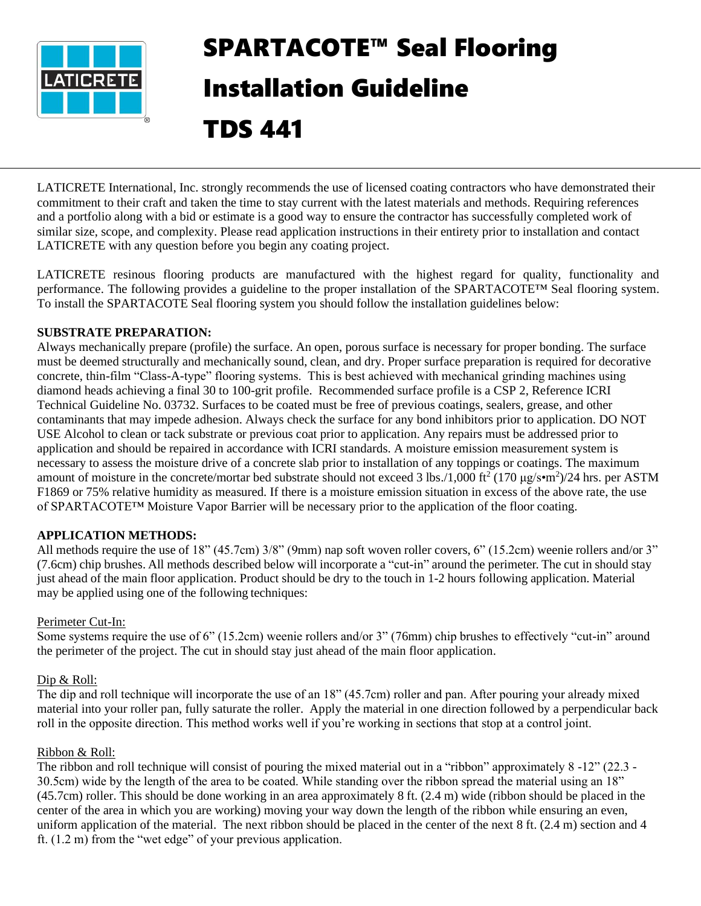

# SPARTACOTE™ Seal Flooring Installation Guideline

# TDS 441

LATICRETE International, Inc. strongly recommends the use of licensed coating contractors who have demonstrated their commitment to their craft and taken the time to stay current with the latest materials and methods. Requiring references and a portfolio along with a bid or estimate is a good way to ensure the contractor has successfully completed work of similar size, scope, and complexity. Please read application instructions in their entirety prior to installation and contact LATICRETE with any question before you begin any coating project.

LATICRETE resinous flooring products are manufactured with the highest regard for quality, functionality and performance. The following provides a guideline to the proper installation of the SPARTACOTE™ Seal flooring system. To install the SPARTACOTE Seal flooring system you should follow the installation guidelines below:

# **SUBSTRATE PREPARATION:**

Always mechanically prepare (profile) the surface. An open, porous surface is necessary for proper bonding. The surface must be deemed structurally and mechanically sound, clean, and dry. Proper surface preparation is required for decorative concrete, thin-film "Class-A-type" flooring systems. This is best achieved with mechanical grinding machines using diamond heads achieving a final 30 to 100-grit profile. Recommended surface profile is a CSP 2, Reference ICRI Technical Guideline No. 03732. Surfaces to be coated must be free of previous coatings, sealers, grease, and other contaminants that may impede adhesion. Always check the surface for any bond inhibitors prior to application. DO NOT USE Alcohol to clean or tack substrate or previous coat prior to application. Any repairs must be addressed prior to application and should be repaired in accordance with ICRI standards. A moisture emission measurement system is necessary to assess the moisture drive of a concrete slab prior to installation of any toppings or coatings. The maximum amount of moisture in the concrete/mortar bed substrate should not exceed 3 lbs./1,000 ft<sup>2</sup> (170  $\mu$ g/s•m<sup>2</sup>)/24 hrs. per ASTM F1869 or 75% relative humidity as measured. If there is a moisture emission situation in excess of the above rate, the use of SPARTACOTE™ Moisture Vapor Barrier will be necessary prior to the application of the floor coating.

# **APPLICATION METHODS:**

All methods require the use of 18" (45.7cm) 3/8" (9mm) nap soft woven roller covers, 6" (15.2cm) weenie rollers and/or 3" (7.6cm) chip brushes. All methods described below will incorporate a "cut-in" around the perimeter. The cut in should stay just ahead of the main floor application. Product should be dry to the touch in 1-2 hours following application. Material may be applied using one of the following techniques:

# Perimeter Cut-In:

Some systems require the use of 6" (15.2cm) weenie rollers and/or 3" (76mm) chip brushes to effectively "cut-in" around the perimeter of the project. The cut in should stay just ahead of the main floor application.

# Dip & Roll:

The dip and roll technique will incorporate the use of an 18" (45.7cm) roller and pan. After pouring your already mixed material into your roller pan, fully saturate the roller. Apply the material in one direction followed by a perpendicular back roll in the opposite direction. This method works well if you're working in sections that stop at a control joint.

# Ribbon & Roll:

The ribbon and roll technique will consist of pouring the mixed material out in a "ribbon" approximately 8 -12" (22.3 - 30.5cm) wide by the length of the area to be coated. While standing over the ribbon spread the material using an 18" (45.7cm) roller. This should be done working in an area approximately 8 ft. (2.4 m) wide (ribbon should be placed in the center of the area in which you are working) moving your way down the length of the ribbon while ensuring an even, uniform application of the material. The next ribbon should be placed in the center of the next 8 ft. (2.4 m) section and 4 ft. (1.2 m) from the "wet edge" of your previous application.